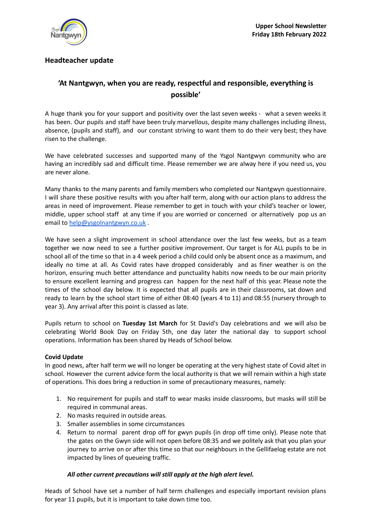

## **Headteacher update**

# **'At Nantgwyn, when you are ready, respectful and responsible, everything is possible'**

A huge thank you for your support and positivity over the last seven weeks - what a seven weeks it has been. Our pupils and staff have been truly marvellous, despite many challenges including illness, absence, (pupils and staff), and our constant striving to want them to do their very best; they have risen to the challenge.

We have celebrated successes and supported many of the Ysgol Nantgwyn community who are having an incredibly sad and difficult time. Please remember we are alway here if you need us, you are never alone.

Many thanks to the many parents and family members who completed our Nantgwyn questionnaire. I will share these positive results with you after half term, along with our action plans to address the areas in need of improvement. Please remember to get in touch with your child's teacher or lower, middle, upper school staff at any time if you are worried or concerned or alternatively pop us an email to [help@ysgolnantgwyn.co.uk](mailto:help@ysgolnantgwyn.co.uk) .

We have seen a slight improvement in school attendance over the last few weeks, but as a team together we now need to see a further positive improvement. Our target is for ALL pupils to be in school all of the time so that in a 4 week period a child could only be absent once as a maximum, and ideally no time at all. As Covid rates have dropped considerably and as finer weather is on the horizon, ensuring much better attendance and punctuality habits now needs to be our main priority to ensure excellent learning and progress can happen for the next half of this year. Please note the times of the school day below. It is expected that all pupils are in their classrooms, sat down and ready to learn by the school start time of either 08:40 (years 4 to 11) and 08:55 (nursery through to year 3). Any arrival after this point is classed as late.

Pupils return to school on **Tuesday 1st March** for St David's Day celebrations and we will also be celebrating World Book Day on Friday 5th, one day later the national day to support school operations. Information has been shared by Heads of School below.

## **Covid Update**

In good news, after half term we will no longer be operating at the very highest state of Covid altet in school. However the current advice form the local authority is that we will remain within a high state of operations. This does bring a reduction in some of precautionary measures, namely:

- 1. No requirement for pupils and staff to wear masks inside classrooms, but masks will still be required in communal areas.
- 2. No masks required in outside areas.
- 3. Smaller assemblies in some circumstances
- 4. Return to normal parent drop off for gwyn pupils (in drop off time only). Please note that the gates on the Gwyn side will not open before 08:35 and we politely ask that you plan your journey to arrive on or after this time so that our neighbours in the Gellifaelog estate are not impacted by lines of queueing traffic.

## *All other current precautions will still apply at the high alert level.*

Heads of School have set a number of half term challenges and especially important revision plans for year 11 pupils, but it is important to take down time too.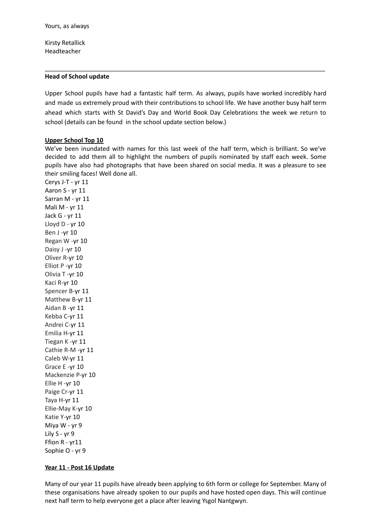Kirsty Retallick Headteacher

#### **Head of School update**

Upper School pupils have had a fantastic half term. As always, pupils have worked incredibly hard and made us extremely proud with their contributions to school life. We have another busy half term ahead which starts with St David's Day and World Book Day Celebrations the week we return to school (details can be found in the school update section below.)

\_\_\_\_\_\_\_\_\_\_\_\_\_\_\_\_\_\_\_\_\_\_\_\_\_\_\_\_\_\_\_\_\_\_\_\_\_\_\_\_\_\_\_\_\_\_\_\_\_\_\_\_\_\_\_\_\_\_\_\_\_\_\_\_\_\_\_\_\_\_\_\_\_\_\_\_\_\_\_\_\_\_

#### **Upper School Top 10**

We've been inundated with names for this last week of the half term, which is brilliant. So we've decided to add them all to highlight the numbers of pupils nominated by staff each week. Some pupils have also had photographs that have been shared on social media. It was a pleasure to see their smiling faces! Well done all.

Cerys J-T - yr 11 Aaron S - yr 11 Sarran M - yr 11 Mali M - yr 11 Jack G - yr 11 Lloyd D - yr 10 Ben J -yr 10 Regan W -yr 10 Daisy J -yr 10 Oliver R-yr 10 Elliot P -yr 10 Olivia T -yr 10 Kaci R-yr 10 Spencer B-yr 11 Matthew B-yr 11 Aidan B -yr 11 Kebba C-yr 11 Andrei C-yr 11 Emilia H-yr 11 Tiegan K -yr 11 Cathie R-M -yr 11 Caleb W-yr 11 Grace E -yr 10 Mackenzie P-yr 10 Ellie H -yr 10 Paige Cr-yr 11 Taya H-yr 11 Ellie-May K-yr 10 Katie Y-yr 10 Miya W - yr 9 Lily S - yr 9 Ffion R - yr11 Sophie O - yr 9

#### **Year 11 - Post 16 Update**

Many of our year 11 pupils have already been applying to 6th form or college for September. Many of these organisations have already spoken to our pupils and have hosted open days. This will continue next half term to help everyone get a place after leaving Ysgol Nantgwyn.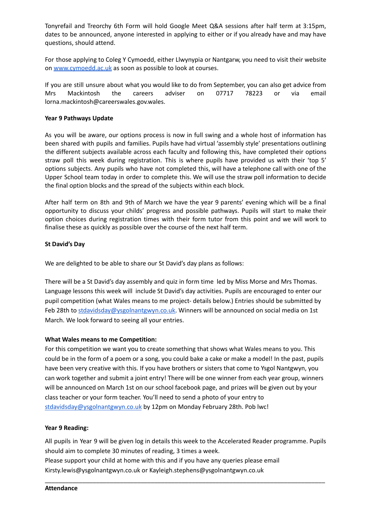Tonyrefail and Treorchy 6th Form will hold Google Meet Q&A sessions after half term at 3:15pm, dates to be announced, anyone interested in applying to either or if you already have and may have questions, should attend.

For those applying to Coleg Y Cymoedd, either Llwynypia or Nantgarw, you need to visit their website on [www.cymoedd.ac.uk](http://www.cymoedd.ac.uk) as soon as possible to look at courses.

If you are still unsure about what you would like to do from September, you can also get advice from Mrs Mackintosh the careers adviser on 07717 78223 or via email lorna.mackintosh@careerswales.gov.wales.

## **Year 9 Pathways Update**

As you will be aware, our options process is now in full swing and a whole host of information has been shared with pupils and families. Pupils have had virtual 'assembly style' presentations outlining the different subjects available across each faculty and following this, have completed their options straw poll this week during registration. This is where pupils have provided us with their 'top 5' options subjects. Any pupils who have not completed this, will have a telephone call with one of the Upper School team today in order to complete this. We will use the straw poll information to decide the final option blocks and the spread of the subjects within each block.

After half term on 8th and 9th of March we have the year 9 parents' evening which will be a final opportunity to discuss your childs' progress and possible pathways. Pupils will start to make their option choices during registration times with their form tutor from this point and we will work to finalise these as quickly as possible over the course of the next half term.

## **St David's Day**

We are delighted to be able to share our St David's day plans as follows:

There will be a St David's day assembly and quiz in form time led by Miss Morse and Mrs Thomas. Language lessons this week will include St David's day activities. Pupils are encouraged to enter our pupil competition (what Wales means to me project- details below.) Entries should be submitted by Feb 28th to [stdavidsday@ysgolnantgwyn.co.uk.](mailto:stdavidsday@ysgolnantgwyn.co.uk) Winners will be announced on social media on 1st March. We look forward to seeing all your entries.

### **What Wales means to me Competition:**

For this competition we want you to create something that shows what Wales means to you. This could be in the form of a poem or a song, you could bake a cake or make a model! In the past, pupils have been very creative with this. If you have brothers or sisters that come to Ysgol Nantgwyn, you can work together and submit a joint entry! There will be one winner from each year group, winners will be announced on March 1st on our school facebook page, and prizes will be given out by your class teacher or your form teacher. You'll need to send a photo of your entry to [stdavidsday@ysgolnantgwyn.co.uk](mailto:stdavidsday@ysgolnantgwyn.co.uk) by 12pm on Monday February 28th. Pob lwc!

### **Year 9 Reading:**

All pupils in Year 9 will be given log in details this week to the Accelerated Reader programme. Pupils should aim to complete 30 minutes of reading, 3 times a week. Please support your child at home with this and if you have any queries please email Kirsty.lewis@ysgolnantgwyn.co.uk or Kayleigh.stephens@ysgolnantgwyn.co.uk

\_\_\_\_\_\_\_\_\_\_\_\_\_\_\_\_\_\_\_\_\_\_\_\_\_\_\_\_\_\_\_\_\_\_\_\_\_\_\_\_\_\_\_\_\_\_\_\_\_\_\_\_\_\_\_\_\_\_\_\_\_\_\_\_\_\_\_\_\_\_\_\_\_\_\_\_\_\_\_\_\_\_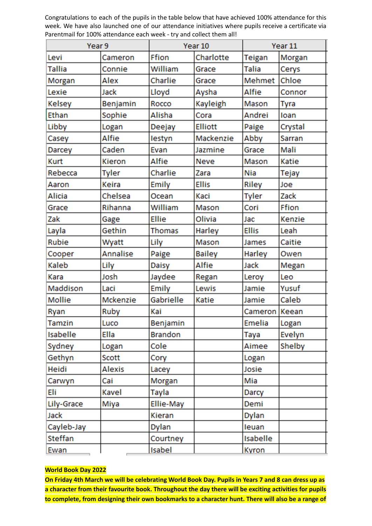Congratulations to each of the pupils in the table below that have achieved 100% attendance for this week. We have also launched one of our attendance initiatives where pupils receive a certificate via Parentmail for 100% attendance each week - try and collect them all!

| Year 9        |                 | Year 10        |                | Year 11       |               |
|---------------|-----------------|----------------|----------------|---------------|---------------|
| Levi          | Cameron         | Ffion          | Charlotte      | <b>Teigan</b> | Morgan        |
| Tallia        | Connie          | William        | Grace          | Talia         | Cerys         |
| Morgan        | Alex            | Charlie        | Grace          | Mehmet        | Chloe         |
| Lexie         | Jack            | Lloyd          | Aysha          | <b>Alfie</b>  | Connor        |
| Kelsey        | Benjamin        | Rocco          | Kayleigh       | Mason         | Tyra          |
| Ethan         | Sophie          | Alisha         | Cora           | Andrei        | loan          |
| Libby         | Logan           | <b>Deejay</b>  | <b>Elliott</b> | Paige         | Crystal       |
| Casey         | Alfie           | lestyn         | Mackenzie      | Abby          | Sarran        |
| <b>Darcey</b> | Caden           | Evan           | Jazmine        | Grace         | Mali          |
| Kurt          | <b>Kieron</b>   | Alfie          | <b>Neve</b>    | Mason         | Katie         |
| Rebecca       | <b>Tyler</b>    | Charlie        | Zara           | Nia           | <b>Tejay</b>  |
| Aaron         | Keira           | Emily          | <b>Ellis</b>   | <b>Riley</b>  | Joe           |
| <b>Alicia</b> | Chelsea         | Ocean          | Kaci           | <b>Tyler</b>  | Zack          |
| Grace         | Rihanna         | William        | Mason          | Cori          | Ffion         |
| Zak           | Gage            | <b>Ellie</b>   | Olivia         | Jac           | <b>Kenzie</b> |
| Layla         | Gethin          | <b>Thomas</b>  | Harley         | <b>Ellis</b>  | Leah          |
| Rubie         | Wyatt           | Lily           | Mason          | James         | Caitie        |
| Cooper        | <b>Annalise</b> | Paige          | <b>Bailey</b>  | Harley        | Owen          |
| Kaleb         | Lily            | <b>Daisy</b>   | <b>Alfie</b>   | <b>Jack</b>   | Megan         |
| Kara          | Josh            | Jaydee         | Regan          | Leroy         | Leo           |
| Maddison      | Laci            | Emily          | Lewis          | Jamie         | Yusuf         |
| <b>Mollie</b> | <b>Mckenzie</b> | Gabrielle      | <b>Katie</b>   | Jamie         | Caleb         |
| Ryan          | Ruby            | Kai            |                | Cameron Keean |               |
| Tamzin        | Luco            | Benjamin       |                | <b>Emelia</b> | Logan         |
| Isabelle      | Ella            | <b>Brandon</b> |                | Taya          | Evelyn        |
| Sydney        | Logan           | Cole           |                | Aimee         | Shelby        |
| Gethyn        | Scott           | Cory           |                | Logan         |               |
| Heidi         | Alexis          | Lacey          |                | Josie         |               |
| Carwyn        | Cai             | Morgan         |                | Mia           |               |
| Eli           | Kavel           | Tayla          |                | Darcy         |               |
| Lily-Grace    | Miya            | Ellie-May      |                | Demi          |               |
| Jack          |                 | <b>Kieran</b>  |                | <b>Dylan</b>  |               |
| Cayleb-Jay    |                 | <b>Dylan</b>   |                | leuan         |               |
| Steffan       |                 | Courtney       |                | Isabelle      |               |
| Ewan          |                 | Isabel         |                | <b>Kyron</b>  |               |

#### **World Book Day 2022**

On Friday 4th March we will be celebrating World Book Day. Pupils in Years 7 and 8 can dress up as **a character from their favourite book. Throughout the day there will be exciting activities for pupils to complete, from designing their own bookmarks to a character hunt. There will also be a range of**